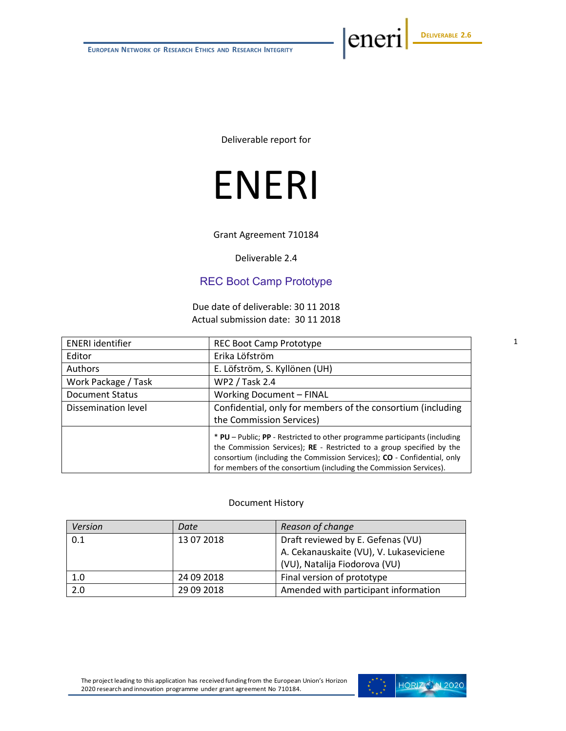eneri

Deliverable report for

# ENERI

Grant Agreement 710184

Deliverable 2.4

#### REC Boot Camp Prototype

Due date of deliverable: 30 11 2018 Actual submission date: 30 11 2018

| <b>ENERI</b> identifier | <b>REC Boot Camp Prototype</b>                                                                                                                                                                                                                                                                      |  |  |
|-------------------------|-----------------------------------------------------------------------------------------------------------------------------------------------------------------------------------------------------------------------------------------------------------------------------------------------------|--|--|
| Editor                  | Erika Löfström                                                                                                                                                                                                                                                                                      |  |  |
| <b>Authors</b>          | E. Löfström, S. Kyllönen (UH)                                                                                                                                                                                                                                                                       |  |  |
| Work Package / Task     | <b>WP2 / Task 2.4</b>                                                                                                                                                                                                                                                                               |  |  |
| <b>Document Status</b>  | <b>Working Document - FINAL</b>                                                                                                                                                                                                                                                                     |  |  |
| Dissemination level     | Confidential, only for members of the consortium (including                                                                                                                                                                                                                                         |  |  |
|                         | the Commission Services)                                                                                                                                                                                                                                                                            |  |  |
|                         | * PU – Public; PP - Restricted to other programme participants (including<br>the Commission Services); RE - Restricted to a group specified by the<br>consortium (including the Commission Services); CO - Confidential, only<br>for members of the consortium (including the Commission Services). |  |  |

#### Document History

| Version | Date       | Reason of change                        |  |
|---------|------------|-----------------------------------------|--|
| 0.1     | 13 07 2018 | Draft reviewed by E. Gefenas (VU)       |  |
|         |            | A. Cekanauskaite (VU), V. Lukaseviciene |  |
|         |            | (VU), Natalija Fiodorova (VU)           |  |
| 1.0     | 24 09 2018 | Final version of prototype              |  |
| 2.0     | 29 09 2018 | Amended with participant information    |  |

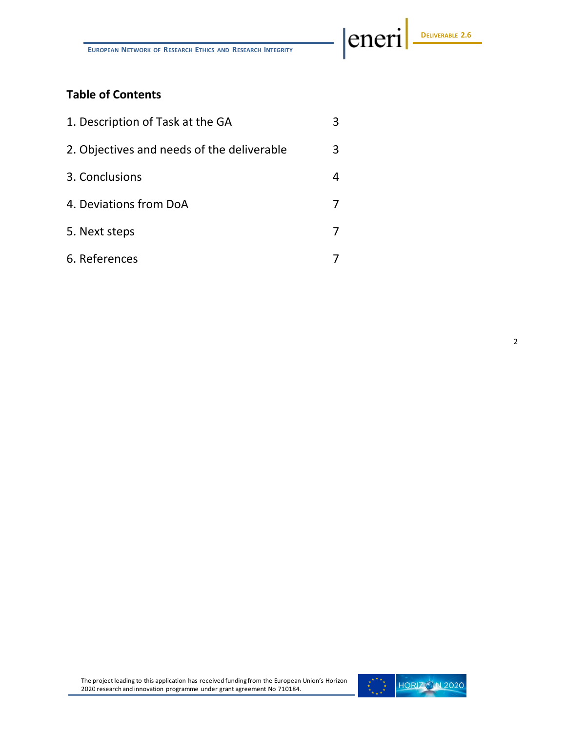eneri

# **Table of Contents**

| 1. Description of Task at the GA           |   |
|--------------------------------------------|---|
| 2. Objectives and needs of the deliverable | 3 |
| 3. Conclusions                             |   |
| 4. Deviations from DoA                     |   |
| 5. Next steps                              |   |
| 6. References                              |   |

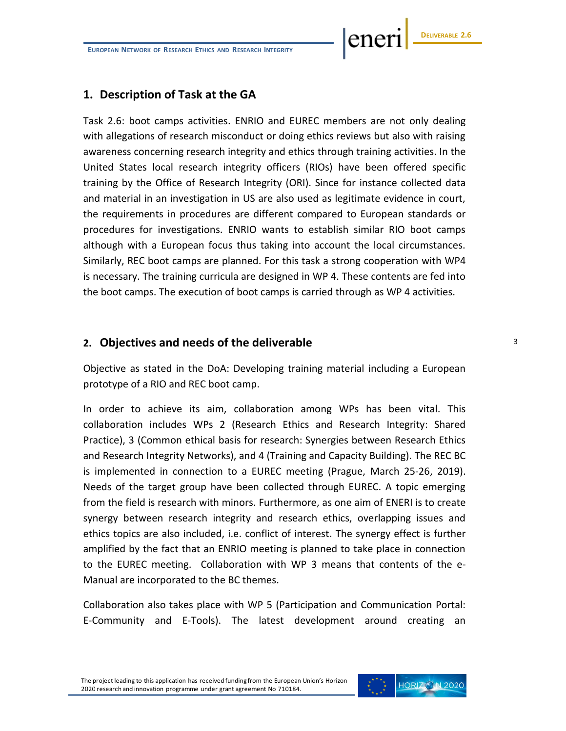ener

#### **1. Description of Task at the GA**

Task 2.6: boot camps activities. ENRIO and EUREC members are not only dealing with allegations of research misconduct or doing ethics reviews but also with raising awareness concerning research integrity and ethics through training activities. In the United States local research integrity officers (RIOs) have been offered specific training by the Office of Research Integrity (ORI). Since for instance collected data and material in an investigation in US are also used as legitimate evidence in court, the requirements in procedures are different compared to European standards or procedures for investigations. ENRIO wants to establish similar RIO boot camps although with a European focus thus taking into account the local circumstances. Similarly, REC boot camps are planned. For this task a strong cooperation with WP4 is necessary. The training curricula are designed in WP 4. These contents are fed into the boot camps. The execution of boot camps is carried through as WP 4 activities.

#### **2. Objectives and needs of the deliverable**

Objective as stated in the DoA: Developing training material including a European prototype of a RIO and REC boot camp.

In order to achieve its aim, collaboration among WPs has been vital. This collaboration includes WPs 2 (Research Ethics and Research Integrity: Shared Practice), 3 (Common ethical basis for research: Synergies between Research Ethics and Research Integrity Networks), and 4 (Training and Capacity Building). The REC BC is implemented in connection to a EUREC meeting (Prague, March 25-26, 2019). Needs of the target group have been collected through EUREC. A topic emerging from the field is research with minors. Furthermore, as one aim of ENERI is to create synergy between research integrity and research ethics, overlapping issues and ethics topics are also included, i.e. conflict of interest. The synergy effect is further amplified by the fact that an ENRIO meeting is planned to take place in connection to the EUREC meeting. Collaboration with WP 3 means that contents of the e-Manual are incorporated to the BC themes.

Collaboration also takes place with WP 5 (Participation and Communication Portal: E-Community and E-Tools). The latest development around creating an

The project leading to this application has received funding from the European Union's Horizon 2020 research and innovation programme under grant agreement No 710184.

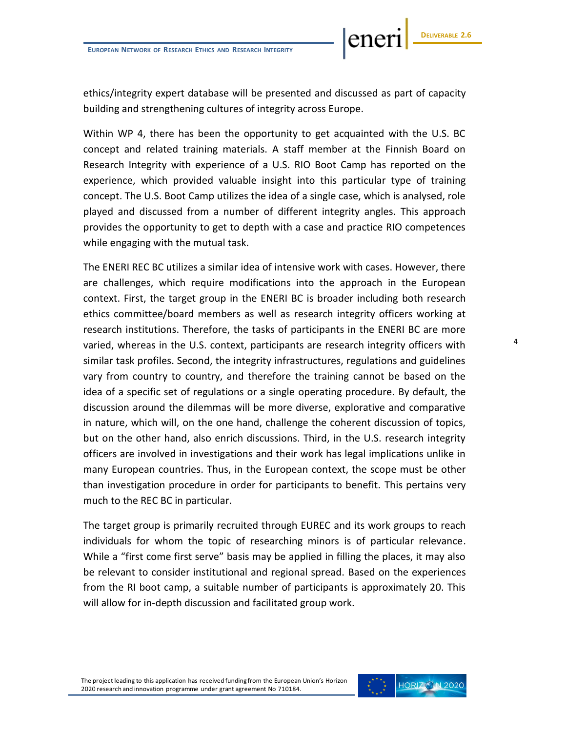ene

ethics/integrity expert database will be presented and discussed as part of capacity building and strengthening cultures of integrity across Europe.

Within WP 4, there has been the opportunity to get acquainted with the U.S. BC concept and related training materials. A staff member at the Finnish Board on Research Integrity with experience of a U.S. RIO Boot Camp has reported on the experience, which provided valuable insight into this particular type of training concept. The U.S. Boot Camp utilizes the idea of a single case, which is analysed, role played and discussed from a number of different integrity angles. This approach provides the opportunity to get to depth with a case and practice RIO competences while engaging with the mutual task.

The ENERI REC BC utilizes a similar idea of intensive work with cases. However, there are challenges, which require modifications into the approach in the European context. First, the target group in the ENERI BC is broader including both research ethics committee/board members as well as research integrity officers working at research institutions. Therefore, the tasks of participants in the ENERI BC are more varied, whereas in the U.S. context, participants are research integrity officers with similar task profiles. Second, the integrity infrastructures, regulations and guidelines vary from country to country, and therefore the training cannot be based on the idea of a specific set of regulations or a single operating procedure. By default, the discussion around the dilemmas will be more diverse, explorative and comparative in nature, which will, on the one hand, challenge the coherent discussion of topics, but on the other hand, also enrich discussions. Third, in the U.S. research integrity officers are involved in investigations and their work has legal implications unlike in many European countries. Thus, in the European context, the scope must be other than investigation procedure in order for participants to benefit. This pertains very much to the REC BC in particular.

The target group is primarily recruited through EUREC and its work groups to reach individuals for whom the topic of researching minors is of particular relevance. While a "first come first serve" basis may be applied in filling the places, it may also be relevant to consider institutional and regional spread. Based on the experiences from the RI boot camp, a suitable number of participants is approximately 20. This will allow for in-depth discussion and facilitated group work.

The project leading to this application has received funding from the European Union's Horizon 2020 research and innovation programme under grant agreement No 710184.

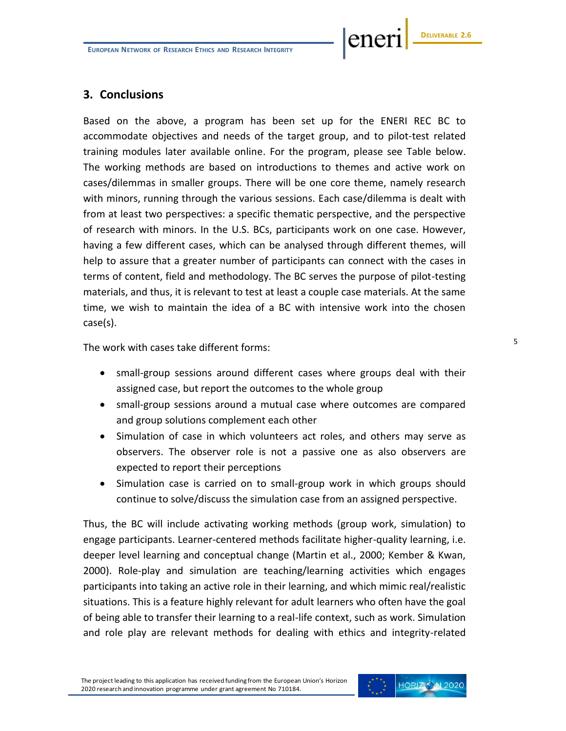ene

## **3. Conclusions**

Based on the above, a program has been set up for the ENERI REC BC to accommodate objectives and needs of the target group, and to pilot-test related training modules later available online. For the program, please see Table below. The working methods are based on introductions to themes and active work on cases/dilemmas in smaller groups. There will be one core theme, namely research with minors, running through the various sessions. Each case/dilemma is dealt with from at least two perspectives: a specific thematic perspective, and the perspective of research with minors. In the U.S. BCs, participants work on one case. However, having a few different cases, which can be analysed through different themes, will help to assure that a greater number of participants can connect with the cases in terms of content, field and methodology. The BC serves the purpose of pilot-testing materials, and thus, it is relevant to test at least a couple case materials. At the same time, we wish to maintain the idea of a BC with intensive work into the chosen case(s).

The work with cases take different forms:

- small-group sessions around different cases where groups deal with their assigned case, but report the outcomes to the whole group
- small-group sessions around a mutual case where outcomes are compared and group solutions complement each other
- Simulation of case in which volunteers act roles, and others may serve as observers. The observer role is not a passive one as also observers are expected to report their perceptions
- Simulation case is carried on to small-group work in which groups should continue to solve/discuss the simulation case from an assigned perspective.

Thus, the BC will include activating working methods (group work, simulation) to engage participants. Learner-centered methods facilitate higher-quality learning, i.e. deeper level learning and conceptual change (Martin et al., 2000; Kember & Kwan, 2000). Role-play and simulation are teaching/learning activities which engages participants into taking an active role in their learning, and which mimic real/realistic situations. This is a feature highly relevant for adult learners who often have the goal of being able to transfer their learning to a real-life context, such as work. Simulation and role play are relevant methods for dealing with ethics and integrity-related

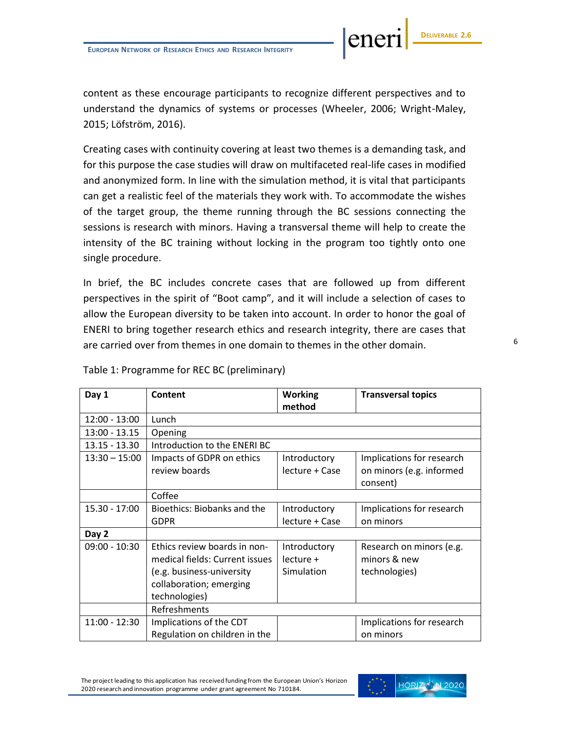content as these encourage participants to recognize different perspectives and to understand the dynamics of systems or processes (Wheeler, 2006; Wright-Maley, 2015; Löfström, 2016).

Creating cases with continuity covering at least two themes is a demanding task, and for this purpose the case studies will draw on multifaceted real-life cases in modified and anonymized form. In line with the simulation method, it is vital that participants can get a realistic feel of the materials they work with. To accommodate the wishes of the target group, the theme running through the BC sessions connecting the sessions is research with minors. Having a transversal theme will help to create the intensity of the BC training without locking in the program too tightly onto one single procedure.

In brief, the BC includes concrete cases that are followed up from different perspectives in the spirit of "Boot camp", and it will include a selection of cases to allow the European diversity to be taken into account. In order to honor the goal of ENERI to bring together research ethics and research integrity, there are cases that are carried over from themes in one domain to themes in the other domain.

| Day 1           | Content                                                               | <b>Working</b><br>method       | <b>Transversal topics</b>                                         |
|-----------------|-----------------------------------------------------------------------|--------------------------------|-------------------------------------------------------------------|
| $12:00 - 13:00$ | Lunch                                                                 |                                |                                                                   |
| $13:00 - 13.15$ | Opening                                                               |                                |                                                                   |
| $13.15 - 13.30$ | Introduction to the ENERI BC                                          |                                |                                                                   |
| $13:30 - 15:00$ | Impacts of GDPR on ethics<br>review boards                            | Introductory<br>lecture + Case | Implications for research<br>on minors (e.g. informed<br>consent) |
|                 | Coffee                                                                |                                |                                                                   |
| 15.30 - 17:00   | Bioethics: Biobanks and the                                           | Introductory                   | Implications for research                                         |
|                 | <b>GDPR</b>                                                           | lecture + Case                 | on minors                                                         |
| Day 2           |                                                                       |                                |                                                                   |
| $09:00 - 10:30$ | Ethics review boards in non-<br>medical fields: Current issues        | Introductory<br>$lecture +$    | Research on minors (e.g.<br>minors & new                          |
|                 | (e.g. business-university<br>collaboration; emerging<br>technologies) | Simulation                     | technologies)                                                     |
|                 | Refreshments                                                          |                                |                                                                   |
| $11:00 - 12:30$ | Implications of the CDT                                               |                                | Implications for research                                         |
|                 | Regulation on children in the                                         |                                | on minors                                                         |

#### Table 1: Programme for REC BC (preliminary)



ene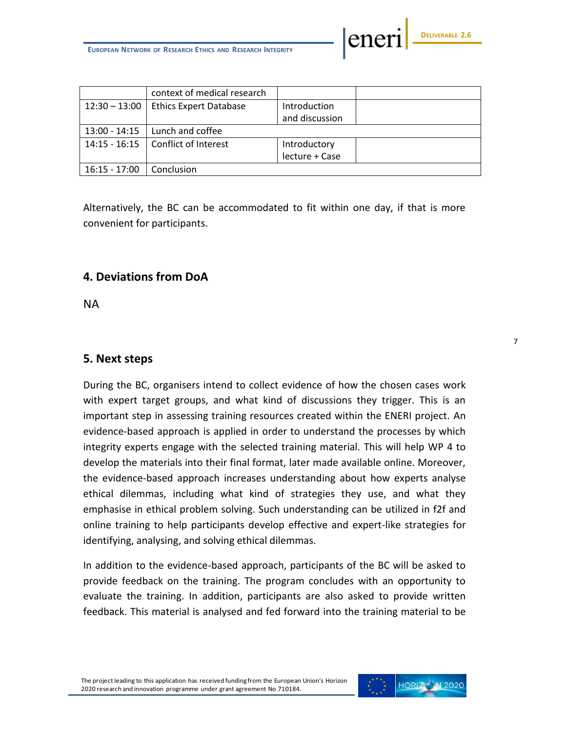eneri

|                 | context of medical research   |                |  |
|-----------------|-------------------------------|----------------|--|
| $12:30 - 13:00$ | <b>Ethics Expert Database</b> | Introduction   |  |
|                 |                               | and discussion |  |
| 13:00 - 14:15   | Lunch and coffee              |                |  |
| 14:15 - 16:15   | Conflict of Interest          | Introductory   |  |
|                 |                               | lecture + Case |  |
| $16:15 - 17:00$ | Conclusion                    |                |  |

Alternatively, the BC can be accommodated to fit within one day, if that is more convenient for participants.

# **4. Deviations from DoA**

NA

## **5. Next steps**

During the BC, organisers intend to collect evidence of how the chosen cases work with expert target groups, and what kind of discussions they trigger. This is an important step in assessing training resources created within the ENERI project. An evidence-based approach is applied in order to understand the processes by which integrity experts engage with the selected training material. This will help WP 4 to develop the materials into their final format, later made available online. Moreover, the evidence-based approach increases understanding about how experts analyse ethical dilemmas, including what kind of strategies they use, and what they emphasise in ethical problem solving. Such understanding can be utilized in f2f and online training to help participants develop effective and expert-like strategies for identifying, analysing, and solving ethical dilemmas.

In addition to the evidence-based approach, participants of the BC will be asked to provide feedback on the training. The program concludes with an opportunity to evaluate the training. In addition, participants are also asked to provide written feedback. This material is analysed and fed forward into the training material to be